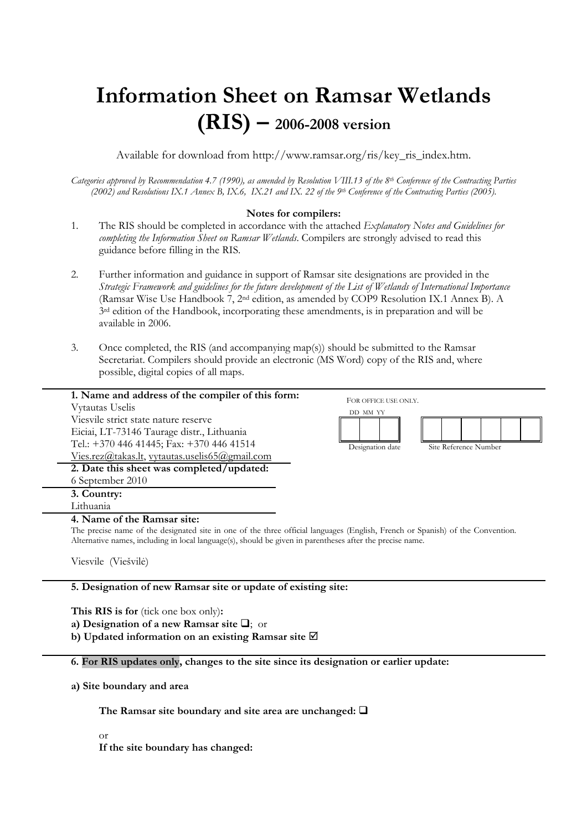# **Information Sheet on Ramsar Wetlands (RIS) – 2006-2008 version**

Available for download from http://www.ramsar.org/ris/key\_ris\_index.htm.

*Categories approved by Recommendation 4.7 (1990), as amended by Resolution VIII.13 of the 8th Conference of the Contracting Parties (2002) and Resolutions IX.1 Annex B, IX.6, IX.21 and IX. 22 of the 9th Conference of the Contracting Parties (2005).* 

## **Notes for compilers:**

- 1. The RIS should be completed in accordance with the attached *Explanatory Notes and Guidelines for completing the Information Sheet on Ramsar Wetlands*. Compilers are strongly advised to read this guidance before filling in the RIS.
- 2. Further information and guidance in support of Ramsar site designations are provided in the *Strategic Framework and guidelines for the future development of the List of Wetlands of International Importance*  (Ramsar Wise Use Handbook 7, 2nd edition, as amended by COP9 Resolution IX.1 Annex B). A 3rd edition of the Handbook, incorporating these amendments, is in preparation and will be available in 2006.
- 3. Once completed, the RIS (and accompanying map(s)) should be submitted to the Ramsar Secretariat. Compilers should provide an electronic (MS Word) copy of the RIS and, where possible, digital copies of all maps.

| 1. Name and address of the compiler of this form:<br>Vytautas Uselis<br>Viesvile strict state nature reserve<br>Eiciai, LT-73146 Taurage distr., Lithuania<br>Tel.: +370 446 41445; Fax: +370 446 41514<br>Vies.rez@takas.lt, vytautas.uselis65@gmail.com<br>2. Date this sheet was completed/updated:<br>6 September 2010 | FOR OFFICE USE ONLY.<br>DD MM YY<br>Designation date<br>Site Reference Number |
|----------------------------------------------------------------------------------------------------------------------------------------------------------------------------------------------------------------------------------------------------------------------------------------------------------------------------|-------------------------------------------------------------------------------|
| 3. Country:<br>Lithuania                                                                                                                                                                                                                                                                                                   |                                                                               |
| 4. Name of the Ramsar site:<br>The precise name of the designated site in one of the three official languages (English, French or Spanish) of the Convention.<br>Alternative names, including in local language(s), should be given in parentheses after the precise name.<br>Viesvile (Viešvilė)                          |                                                                               |

**5. Designation of new Ramsar site or update of existing site:** 

**This RIS is for** (tick one box only)**: a) Designation of a new Ramsar site**  $\Box$ **; or** 

**b) Updated information on an existing Ramsar site**  $\boxtimes$ 

**6. For RIS updates only, changes to the site since its designation or earlier update:** 

**a) Site boundary and area** 

**The Ramsar site boundary and site area are unchanged:** 

or

**If the site boundary has changed:**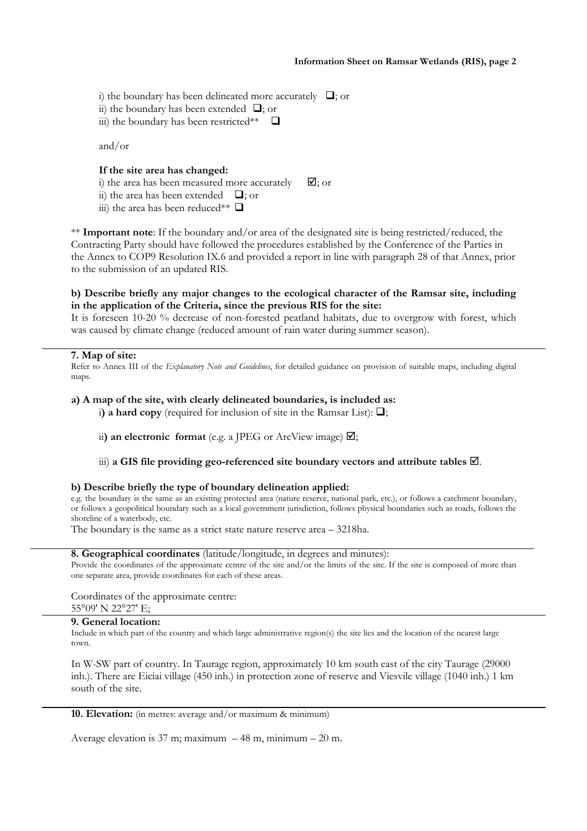i) the boundary has been delineated more accurately  $\Box$ ; or ii) the boundary has been extended  $\Box$ ; or iii) the boundary has been restricted\*\*  $\Box$ 

and/or

## **If the site area has changed:**

i) the area has been measured more accurately  $\mathbf{\nabla}$ : or ii) the area has been extended  $\Box$ ; or iii) the area has been reduced\*\*  $\Box$ 

\*\* **Important note**: If the boundary and/or area of the designated site is being restricted/reduced, the Contracting Party should have followed the procedures established by the Conference of the Parties in the Annex to COP9 Resolution IX.6 and provided a report in line with paragraph 28 of that Annex, prior to the submission of an updated RIS.

## **b) Describe briefly any major changes to the ecological character of the Ramsar site, including in the application of the Criteria, since the previous RIS for the site:**

It is foreseen 10-20 % decrease of non-forested peatland habitats, due to overgrow with forest, which was caused by climate change (reduced amount of rain water during summer season).

#### **7. Map of site:**

Refer to Annex III of the *Explanatory Note and Guidelines*, for detailed guidance on provision of suitable maps, including digital maps.

### **a) A map of the site, with clearly delineated boundaries, is included as:**

i) **a hard copy** (required for inclusion of site in the Ramsar List):  $\Box$ ;

ii) an electronic format (e.g. a JPEG or ArcView image)  $\boxtimes$ ;

# $\dddot{\text{iii}}$ ) a GIS file providing geo-referenced site boundary vectors and attribute tables  $\boxtimes$ .

#### **b) Describe briefly the type of boundary delineation applied:**

e.g. the boundary is the same as an existing protected area (nature reserve, national park, etc.), or follows a catchment boundary, or follows a geopolitical boundary such as a local government jurisdiction, follows physical boundaries such as roads, follows the shoreline of a waterbody, etc.

The boundary is the same as a strict state nature reserve area – 3218ha.

#### **8. Geographical coordinates** (latitude/longitude, in degrees and minutes):

Provide the coordinates of the approximate centre of the site and/or the limits of the site. If the site is composed of more than one separate area, provide coordinates for each of these areas.

Coordinates of the approximate centre:

55°09' N 22°27' E;

# **9. General location:**

Include in which part of the country and which large administrative region(s) the site lies and the location of the nearest large town.

In W-SW part of country. In Taurage region, approximately 10 km south east of the city Taurage (29000 inh.). There are Eiciai village (450 inh.) in protection zone of reserve and Viesvile village (1040 inh.) 1 km south of the site.

**10. Elevation:** (in metres: average and/or maximum & minimum)

Average elevation is 37 m; maximum – 48 m, minimum – 20 m.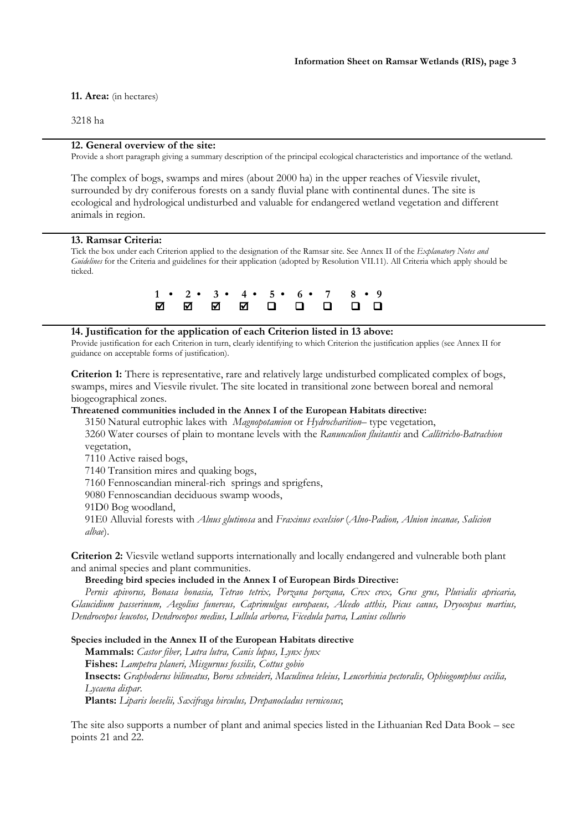#### **11. Area:** (in hectares)

## 3218 ha

# **12. General overview of the site:**

Provide a short paragraph giving a summary description of the principal ecological characteristics and importance of the wetland.

The complex of bogs, swamps and mires (about 2000 ha) in the upper reaches of Viesvile rivulet, surrounded by dry coniferous forests on a sandy fluvial plane with continental dunes. The site is ecological and hydrological undisturbed and valuable for endangered wetland vegetation and different animals in region.

#### **13. Ramsar Criteria:**

Tick the box under each Criterion applied to the designation of the Ramsar site. See Annex II of the *Explanatory Notes and Guidelines* for the Criteria and guidelines for their application (adopted by Resolution VII.11). All Criteria which apply should be ticked.

|  |  | $1 \cdot 2 \cdot 3 \cdot 4 \cdot 5 \cdot 6 \cdot 7 \cdot 8 \cdot 9$ |  |  |
|--|--|---------------------------------------------------------------------|--|--|
|  |  | 8 8 8 8 9 9 9 9 9                                                   |  |  |

## **14. Justification for the application of each Criterion listed in 13 above:**

Provide justification for each Criterion in turn, clearly identifying to which Criterion the justification applies (see Annex II for guidance on acceptable forms of justification).

**Criterion 1:** There is representative, rare and relatively large undisturbed complicated complex of bogs, swamps, mires and Viesvile rivulet. The site located in transitional zone between boreal and nemoral biogeographical zones.

## **Threatened communities included in the Annex I of the European Habitats directive:**

3150 Natural eutrophic lakes with *Magnopotamion* or *Hydrocharition*– type vegetation, 3260 Water courses of plain to montane levels with the *Ranunculion fluitantis* and *Callitricho-Batrachion*  vegetation,

7110 Active raised bogs,

7140 Transition mires and quaking bogs,

7160 Fennoscandian mineral-rich springs and sprigfens,

9080 Fennoscandian deciduous swamp woods,

91D0 Bog woodland,

91E0 Alluvial forests with *Alnus glutinosa* and *Fraxinus excelsior* (*Alno-Padion, Alnion incanae, Salicion albae*).

**Criterion 2:** Viesvile wetland supports internationally and locally endangered and vulnerable both plant and animal species and plant communities.

#### **Breeding bird species included in the Annex I of European Birds Directive:**

*Pernis apivorus, Bonasa bonasia, Tetrao tetrix, Porzana porzana, Crex crex, Grus grus, Pluvialis apricaria, Glaucidium passerinum, Aegolius funereus, Caprimulgus europaeus, Alcedo atthis, Picus canus, Dryocopus martius, Dendrocopos leucotos, Dendrocopos medius, Lullula arborea, Ficedula parva, Lanius collurio* 

**Species included in the Annex II of the European Habitats directive** 

**Mammals:** *Castor fiber, Lutra lutra, Canis lupus, Lynx lynx*

**Fishes:** *Lampetra planeri, Misgurnus fossilis, Cottus gobio*

**Insects:** *Graphoderus bilineatus, Boros schneideri, Maculinea teleius, Leucorhinia pectoralis, Ophiogomphus cecilia, Lycaena dispar*.

**Plants:** *Liparis loeselii, Saxifraga hirculus, Drepanocladus vernicosus*;

The site also supports a number of plant and animal species listed in the Lithuanian Red Data Book – see points 21 and 22.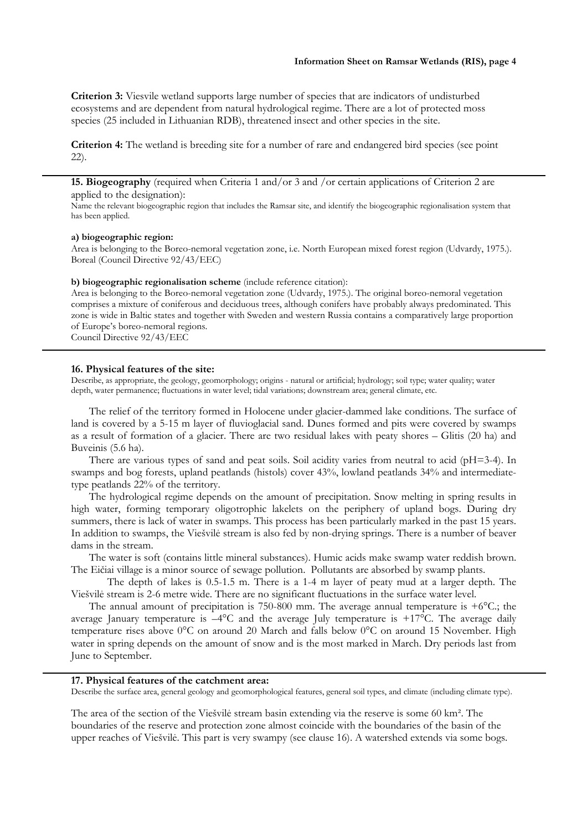**Criterion 3:** Viesvile wetland supports large number of species that are indicators of undisturbed ecosystems and are dependent from natural hydrological regime. There are a lot of protected moss species (25 included in Lithuanian RDB), threatened insect and other species in the site.

**Criterion 4:** The wetland is breeding site for a number of rare and endangered bird species (see point 22).

**15. Biogeography** (required when Criteria 1 and/or 3 and /or certain applications of Criterion 2 are applied to the designation):

Name the relevant biogeographic region that includes the Ramsar site, and identify the biogeographic regionalisation system that has been applied.

## **a) biogeographic region:**

Area is belonging to the Boreo-nemoral vegetation zone, i.e. North European mixed forest region (Udvardy, 1975.). Boreal (Council Directive 92/43/EEC)

#### **b) biogeographic regionalisation scheme** (include reference citation):

Area is belonging to the Boreo-nemoral vegetation zone (Udvardy, 1975.). The original boreo-nemoral vegetation comprises a mixture of coniferous and deciduous trees, although conifers have probably always predominated. This zone is wide in Baltic states and together with Sweden and western Russia contains a comparatively large proportion of Europe's boreo-nemoral regions.

Council Directive 92/43/EEC

#### **16. Physical features of the site:**

Describe, as appropriate, the geology, geomorphology; origins - natural or artificial; hydrology; soil type; water quality; water depth, water permanence; fluctuations in water level; tidal variations; downstream area; general climate, etc.

 The relief of the territory formed in Holocene under glacier-dammed lake conditions. The surface of land is covered by a 5-15 m layer of fluvioglacial sand. Dunes formed and pits were covered by swamps as a result of formation of a glacier. There are two residual lakes with peaty shores – Glitis (20 ha) and Buveinis (5.6 ha).

 There are various types of sand and peat soils. Soil acidity varies from neutral to acid (pH=3-4). In swamps and bog forests, upland peatlands (histols) cover 43%, lowland peatlands 34% and intermediatetype peatlands 22% of the territory.

 The hydrological regime depends on the amount of precipitation. Snow melting in spring results in high water, forming temporary oligotrophic lakelets on the periphery of upland bogs. During dry summers, there is lack of water in swamps. This process has been particularly marked in the past 15 years. In addition to swamps, the Viešvilė stream is also fed by non-drying springs. There is a number of beaver dams in the stream.

 The water is soft (contains little mineral substances). Humic acids make swamp water reddish brown. The Eičiai village is a minor source of sewage pollution. Pollutants are absorbed by swamp plants.

 The depth of lakes is 0.5-1.5 m. There is a 1-4 m layer of peaty mud at a larger depth. The Viešvilė stream is 2-6 metre wide. There are no significant fluctuations in the surface water level.

The annual amount of precipitation is 750-800 mm. The average annual temperature is  $+6^{\circ}$ C.; the average January temperature is –4°C and the average July temperature is +17°C. The average daily temperature rises above 0°C on around 20 March and falls below 0°C on around 15 November. High water in spring depends on the amount of snow and is the most marked in March. Dry periods last from June to September.

#### **17. Physical features of the catchment area:**

Describe the surface area, general geology and geomorphological features, general soil types, and climate (including climate type).

The area of the section of the Viešvilė stream basin extending via the reserve is some 60 km². The boundaries of the reserve and protection zone almost coincide with the boundaries of the basin of the upper reaches of Viešvilė. This part is very swampy (see clause 16). A watershed extends via some bogs.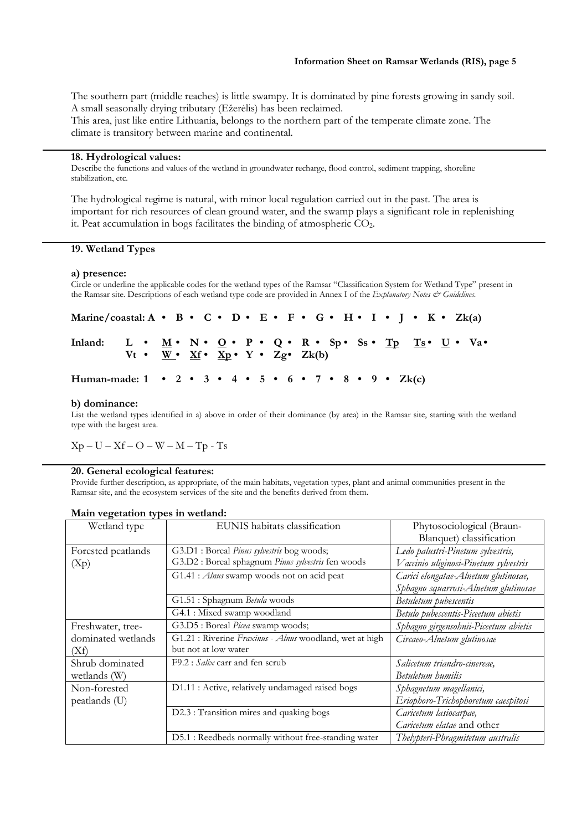The southern part (middle reaches) is little swampy. It is dominated by pine forests growing in sandy soil. A small seasonally drying tributary (Ežerėlis) has been reclaimed.

This area, just like entire Lithuania, belongs to the northern part of the temperate climate zone. The climate is transitory between marine and continental.

#### **18. Hydrological values:**

Describe the functions and values of the wetland in groundwater recharge, flood control, sediment trapping, shoreline stabilization, etc.

The hydrological regime is natural, with minor local regulation carried out in the past. The area is important for rich resources of clean ground water, and the swamp plays a significant role in replenishing it. Peat accumulation in bogs facilitates the binding of atmospheric  $CO<sub>2</sub>$ .

#### **19. Wetland Types**

#### **a) presence:**

Circle or underline the applicable codes for the wetland types of the Ramsar "Classification System for Wetland Type" present in the Ramsar site. Descriptions of each wetland type code are provided in Annex I of the *Explanatory Notes & Guidelines*.

Marine/coastal:  $A \cdot B \cdot C \cdot D \cdot E \cdot F \cdot G \cdot H \cdot I \cdot J \cdot K \cdot Zk(a)$ Inland: L •  $\underline{M}$  • N •  $\underline{O}$  • P • Q • R • Sp • Ss •  $\underline{Tp}$   $\underline{Ts}$  • U • Va • **<u>W** • **Xf** • **Xp** • **Y** • **Zg** • **Zk(b)**</u> **Human-made: 1 • 2 • 3 • 4 • 5 • 6 • 7 • 8 • 9 • Zk(c)** 

#### **b) dominance:**

List the wetland types identified in a) above in order of their dominance (by area) in the Ramsar site, starting with the wetland type with the largest area.

 $Xp - U - Xf - O - W - M - Tp - Ts$ 

#### **20. General ecological features:**

Provide further description, as appropriate, of the main habitats, vegetation types, plant and animal communities present in the Ramsar site, and the ecosystem services of the site and the benefits derived from them.

| Wetland type       | EUNIS habitats classification                           | Phytosociological (Braun-             |
|--------------------|---------------------------------------------------------|---------------------------------------|
|                    |                                                         | Blanquet) classification              |
| Forested peatlands | G3.D1 : Boreal Pinus sylvestris bog woods;              | Ledo palustri-Pinetum sylvestris,     |
| (Xp)               | G3.D2 : Boreal sphagnum Pinus sylvestris fen woods      | Vaccinio uliginosi-Pinetum sylvestris |
|                    | G1.41 : Alnus swamp woods not on acid peat              | Carici elongatae-Alnetum glutinosae,  |
|                    |                                                         | Sphagno squarrosi-Alnetum glutinosae  |
|                    | G1.51 : Sphagnum Betula woods                           | Betuletum pubescentis                 |
|                    | G4.1 : Mixed swamp woodland                             | Betulo pubescentis-Piceetum abietis   |
| Freshwater, tree-  | G3.D5 : Boreal Picea swamp woods;                       | Sphagno girgensohnii-Piceetum abietis |
| dominated wetlands | G1.21 : Riverine Fraxinus - Alnus woodland, wet at high | Circaeo-Alnetum glutinosae            |
| (Xf)               | but not at low water                                    |                                       |
| Shrub dominated    | F9.2 : Salix carr and fen scrub                         | Salicetum triandro-cinereae,          |
| wetlands (W)       |                                                         | Betuletum humilis                     |
| Non-forested       | D1.11 : Active, relatively undamaged raised bogs        | Sphagnetum magellanici,               |
| peatlands (U)      |                                                         | Eriophoro-Trichophoretum caespitosi   |
|                    | D2.3 : Transition mires and quaking bogs                | Caricetum lasiocarpae,                |
|                    |                                                         | Caricetum elatae and other            |
|                    | D5.1 : Reedbeds normally without free-standing water    | Thelypteri-Phragmitetum australis     |

#### **Main vegetation types in wetland:**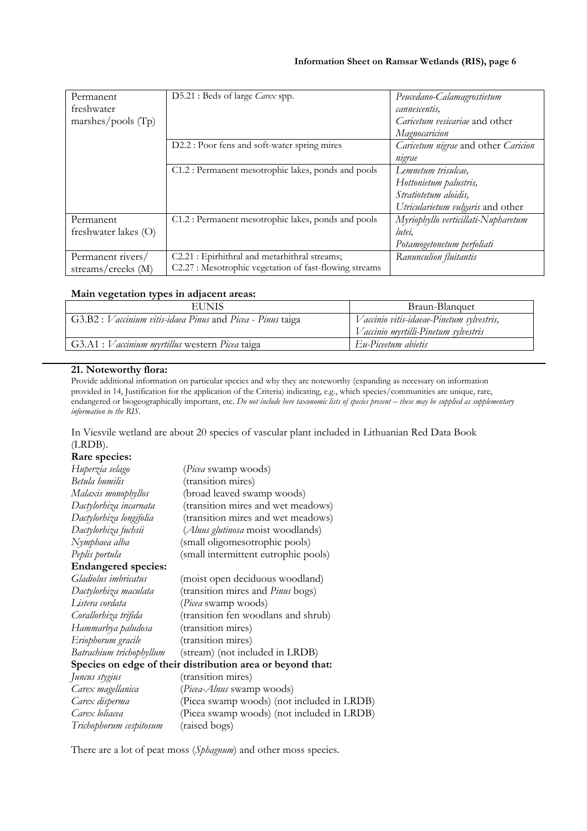## **Information Sheet on Ramsar Wetlands (RIS), page 6**

| Permanent              | D5.21 : Beds of large Carex spp.                       | Peucedano-Calamagrostietum            |
|------------------------|--------------------------------------------------------|---------------------------------------|
| freshwater             |                                                        | cannescentis,                         |
| marshes/pools $(T_p)$  |                                                        | <i>Caricetum vesicariae</i> and other |
|                        |                                                        | Magnocaricion                         |
|                        | D2.2 : Poor fens and soft-water spring mires           | Caricetum nigrae and other Caricion   |
|                        |                                                        | nıgrae                                |
|                        | C1.2 : Permanent mesotrophic lakes, ponds and pools    | Lemnetum trisulcae,                   |
|                        |                                                        | Hottonietum palustris,                |
|                        |                                                        | Stratiotetum aloidis,                 |
|                        |                                                        | Utricularietum vulgaris and other     |
| Permanent              | C1.2 : Permanent mesotrophic lakes, ponds and pools    | Myriophyllo verticillati-Nupharetum   |
| freshwater lakes $(O)$ |                                                        | lutei,                                |
|                        |                                                        | Potamogetonetum perfoliati            |
| Permanent rivers/      | C2.21 : Epirhithral and metarhithral streams;          | Ranunculion fluitantis                |
| streams/creeks (M)     | C2.27 : Mesotrophic vegetation of fast-flowing streams |                                       |

# **Main vegetation types in adjacent areas:**

|                                                               | Braun-Blanquet                            |  |
|---------------------------------------------------------------|-------------------------------------------|--|
| G3.B2 : Vaccinium vitis-idaea Pinus and Picea - Pinus taiga   | Vaccinio vitis-idaeae-Pinetum sylvestris, |  |
|                                                               | Vaccinio myrtilli-Pinetum sylvestris      |  |
| G3.A1 : <i>Vaccinium myrtillus</i> western <i>Picea</i> taiga | Eu-Piceetum abietis                       |  |

# **21. Noteworthy flora:**

Provide additional information on particular species and why they are noteworthy (expanding as necessary on information provided in 14, Justification for the application of the Criteria) indicating, e.g., which species/communities are unique, rare, endangered or biogeographically important, etc. *Do not include here taxonomic lists of species present – these may be supplied as supplementary information to the RIS.* 

In Viesvile wetland are about 20 species of vascular plant included in Lithuanian Red Data Book (LRDB).

| Rare species: |  |
|---------------|--|
|---------------|--|

| Huperzia selago                                            | ( <i>Picea</i> swamp woods)                |  |  |  |
|------------------------------------------------------------|--------------------------------------------|--|--|--|
| Betula humilis                                             | (transition mires)                         |  |  |  |
| Malaxis monophyllos                                        | (broad leaved swamp woods)                 |  |  |  |
| Dactylorhiza incarnata                                     | (transition mires and wet meadows)         |  |  |  |
| Dactylorhiza longifolia                                    | (transition mires and wet meadows)         |  |  |  |
| Dactylorhiza fuchsii                                       | ( <i>Alnus glutinosa</i> moist woodlands)  |  |  |  |
| Nymphaea alba                                              | (small oligomesotrophic pools)             |  |  |  |
| Peplis portula                                             | (small intermittent eutrophic pools)       |  |  |  |
| <b>Endangered species:</b>                                 |                                            |  |  |  |
| Gladiolus imbricatus                                       | (moist open deciduous woodland)            |  |  |  |
| Dactylorhiza maculata                                      | (transition mires and Pinus bogs)          |  |  |  |
| Listera cordata                                            | ( <i>Picea</i> swamp woods)                |  |  |  |
| Corallorhiza trifida                                       | (transition fen woodlans and shrub)        |  |  |  |
| Hammarbya paludosa                                         | (transition mires)                         |  |  |  |
| Eriophorum gracile                                         | (transition mires)                         |  |  |  |
| Batrachium trichophyllum                                   | (stream) (not included in LRDB)            |  |  |  |
| Species on edge of their distribution area or beyond that: |                                            |  |  |  |
| Juncus stygius                                             | (transition mires)                         |  |  |  |
| Carex magellanica                                          | ( <i>Picea-Alnus</i> swamp woods)          |  |  |  |
| Carex disperma                                             | (Picea swamp woods) (not included in LRDB) |  |  |  |
| Carex loliacea                                             | (Picea swamp woods) (not included in LRDB) |  |  |  |
| Trichophorum cespitosum                                    | (raised bogs)                              |  |  |  |
|                                                            |                                            |  |  |  |

There are a lot of peat moss (*Sphagnum*) and other moss species.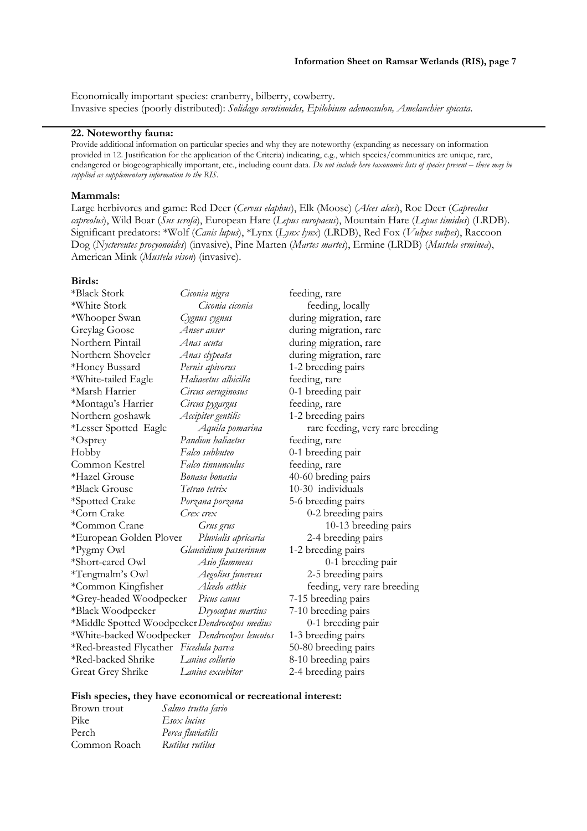Economically important species: cranberry, bilberry, cowberry. Invasive species (poorly distributed): *Solidago serotinoides, Epilobium adenocaulon, Amelanchier spicata*.

#### **22. Noteworthy fauna:**

Provide additional information on particular species and why they are noteworthy (expanding as necessary on information provided in 12. Justification for the application of the Criteria) indicating, e.g., which species/communities are unique, rare, endangered or biogeographically important, etc., including count data. *Do not include here taxonomic lists of species present – these may be supplied as supplementary information to the RIS.* 

#### **Mammals:**

Large herbivores and game: Red Deer (*Cervus elaphus*), Elk (Moose) (*Alces alces*), Roe Deer (*Capreolus capreolus*), Wild Boar (*Sus scrofa*), European Hare (*Lepus europaeus*), Mountain Hare (*Lepus timidus*) (LRDB). Significant predators: \*Wolf (*Canis lupus*), \*Lynx (*Lynx lynx*) (LRDB), Red Fox (*Vulpes vulpes*), Raccoon Dog (*Nyctereutes procyonoides*) (invasive), Pine Marten (*Martes martes*), Ermine (LRDB) (*Mustela erminea*), American Mink (*Mustela vison*) (invasive).

#### **Birds:**

| *Black Stork                                  | Ciconia nigra         | feeding, rare               |  |
|-----------------------------------------------|-----------------------|-----------------------------|--|
| *White Stork                                  | Ciconia ciconia       | feeding, locally            |  |
| *Whooper Swan                                 | Cygnus cygnus         | during migration, rare      |  |
| Greylag Goose                                 | Anser anser           | during migration, rare      |  |
| Northern Pintail                              | Anas acuta            | during migration, rare      |  |
| Northern Shoveler                             | Anas clypeata         | during migration, rare      |  |
| *Honey Bussard                                | Pernis apivorus       | 1-2 breeding pairs          |  |
| *White-tailed Eagle                           | Haliaeetus albicilla  | feeding, rare               |  |
| *Marsh Harrier                                | Circus aeruginosus    | 0-1 breeding pair           |  |
| *Montagu's Harrier                            | Circus pygargus       | feeding, rare               |  |
| Northern goshawk                              | Accipiter gentilis    | 1-2 breeding pairs          |  |
| *Lesser Spotted Eagle                         | Aquila pomarina       | rare feeding, very rare bre |  |
| *Osprey                                       | Pandion haliaetus     | feeding, rare               |  |
| Hobby                                         | Falco subbuteo        | 0-1 breeding pair           |  |
| Common Kestrel                                | Falco tinnunculus     | feeding, rare               |  |
| *Hazel Grouse                                 | Bonasa bonasia        | 40-60 breding pairs         |  |
| *Black Grouse                                 | Tetrao tetrix         | 10-30 individuals           |  |
| *Spotted Crake                                | Porzana porzana       | 5-6 breeding pairs          |  |
| *Corn Crake                                   | Crex crex             | 0-2 breeding pairs          |  |
| *Common Crane                                 | Grus grus             | 10-13 breeding pairs        |  |
| *European Golden Plover                       | Pluvialis apricaria   | 2-4 breeding pairs          |  |
| *Pygmy Owl                                    | Glaucidium passerinum | 1-2 breeding pairs          |  |
| *Short-eared Owl                              | Asio flammeus         | 0-1 breeding pair           |  |
| *Tengmalm's Owl                               | Aegolius funereus     | 2-5 breeding pairs          |  |
| *Common Kingfisher                            | Alcedo atthis         | feeding, very rare breedin  |  |
| *Grey-headed Woodpecker                       | Picus canus           | 7-15 breeding pairs         |  |
| *Black Woodpecker                             | Dryocopus martius     | 7-10 breeding pairs         |  |
| *Middle Spotted Woodpecker Dendrocopos medius |                       | 0-1 breeding pair           |  |
| *White-backed Woodpecker Dendrocopos leucotos |                       | 1-3 breeding pairs          |  |
| *Red-breasted Flycather Ficedula parva        |                       | 50-80 breeding pairs        |  |
| *Red-backed Shrike                            | Lanius collurio       | 8-10 breeding pairs         |  |
| Great Grey Shrike                             | Lanius excubitor      | 2-4 breeding pairs          |  |

#### **Fish species, they have economical or recreational interest:**

| Salmo trutta fario |
|--------------------|
| Esox lucius        |
| Perca fluviatilis  |
| Rutilus rutilus    |
|                    |

y rare breeding **breeding**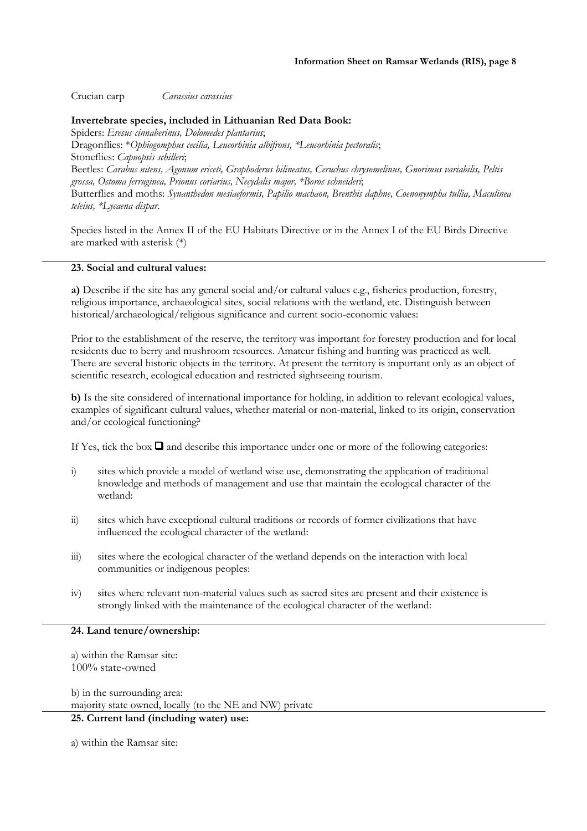## Crucian carp *Carassius carassius*

#### **Invertebrate species, included in Lithuanian Red Data Book:**

Spiders: *Eresus cinnaberinus, Dolomedes plantarius*; Dragonflies: \**Ophiogomphus cecilia, Leucorhinia albifrons, \*Leucorhinia pectoralis*; Stoneflies: *Capnopsis schilleri*; Beetles: *Carabus nitens, Agonum ericeti, Graphoderus bilineatus, Ceruchus chrysomelinus, Gnorimus variabilis, Peltis grossa, Ostoma ferruginea, Prionus coriarius, Necydalis major, \*Boros schneideri*; Butterflies and moths: *Synanthedon mesiaeformis, Papilio machaon, Brenthis daphne, Coenonympha tullia, Maculinea teleius, \*Lycaena dispar*.

Species listed in the Annex II of the EU Habitats Directive or in the Annex I of the EU Birds Directive are marked with asterisk (\*)

# **23. Social and cultural values:**

**a)** Describe if the site has any general social and/or cultural values e.g., fisheries production, forestry, religious importance, archaeological sites, social relations with the wetland, etc. Distinguish between historical/archaeological/religious significance and current socio-economic values:

Prior to the establishment of the reserve, the territory was important for forestry production and for local residents due to berry and mushroom resources. Amateur fishing and hunting was practiced as well. There are several historic objects in the territory. At present the territory is important only as an object of scientific research, ecological education and restricted sightseeing tourism.

**b)** Is the site considered of international importance for holding, in addition to relevant ecological values, examples of significant cultural values, whether material or non-material, linked to its origin, conservation and/or ecological functioning?

If Yes, tick the box  $\Box$  and describe this importance under one or more of the following categories:

- i) sites which provide a model of wetland wise use, demonstrating the application of traditional knowledge and methods of management and use that maintain the ecological character of the wetland:
- ii) sites which have exceptional cultural traditions or records of former civilizations that have influenced the ecological character of the wetland:
- iii) sites where the ecological character of the wetland depends on the interaction with local communities or indigenous peoples:
- iv) sites where relevant non-material values such as sacred sites are present and their existence is strongly linked with the maintenance of the ecological character of the wetland:

### **24. Land tenure/ownership:**

a) within the Ramsar site: 100% state-owned

b) in the surrounding area: majority state owned, locally (to the NE and NW) private **25. Current land (including water) use:** 

a) within the Ramsar site: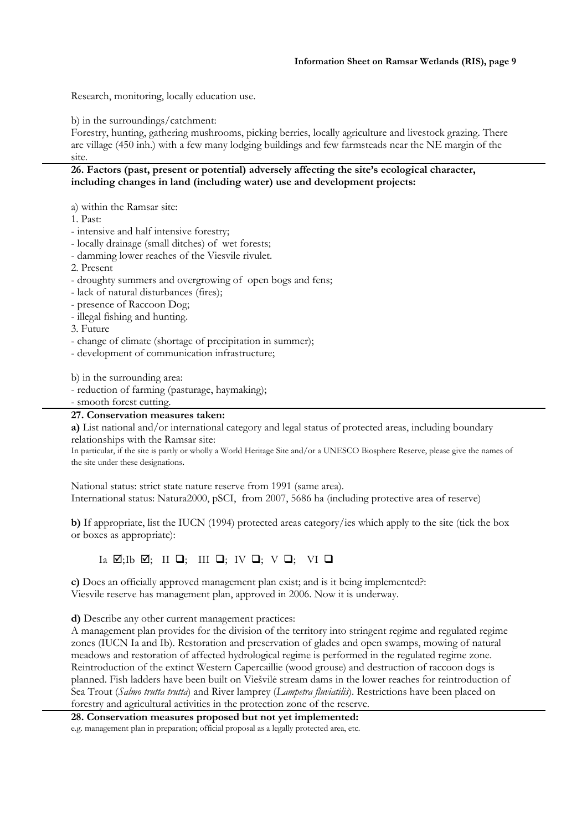Research, monitoring, locally education use.

b) in the surroundings/catchment:

Forestry, hunting, gathering mushrooms, picking berries, locally agriculture and livestock grazing. There are village (450 inh.) with a few many lodging buildings and few farmsteads near the NE margin of the site.

# **26. Factors (past, present or potential) adversely affecting the site's ecological character, including changes in land (including water) use and development projects:**

a) within the Ramsar site:

1. Past:

- intensive and half intensive forestry;
- locally drainage (small ditches) of wet forests;
- damming lower reaches of the Viesvile rivulet.

2. Present

- droughty summers and overgrowing of open bogs and fens;

- lack of natural disturbances (fires);

- presence of Raccoon Dog;

- illegal fishing and hunting.

3. Future

- change of climate (shortage of precipitation in summer);
- development of communication infrastructure;

b) in the surrounding area:

- reduction of farming (pasturage, haymaking);

- smooth forest cutting.

## **27. Conservation measures taken:**

**a)** List national and/or international category and legal status of protected areas, including boundary relationships with the Ramsar site:

In particular, if the site is partly or wholly a World Heritage Site and/or a UNESCO Biosphere Reserve, please give the names of the site under these designations.

National status: strict state nature reserve from 1991 (same area). International status: Natura2000, pSCI, from 2007, 5686 ha (including protective area of reserve)

**b)** If appropriate, list the IUCN (1994) protected areas category/ies which apply to the site (tick the box or boxes as appropriate):

# $Ia \nabla j$ ; II  $\Box$ ; III  $\Box$ ; IV  $\Box$ ; V  $\Box$ ; VI  $\Box$

**c)** Does an officially approved management plan exist; and is it being implemented?: Viesvile reserve has management plan, approved in 2006. Now it is underway.

**d)** Describe any other current management practices:

A management plan provides for the division of the territory into stringent regime and regulated regime zones (IUCN Ia and Ib). Restoration and preservation of glades and open swamps, mowing of natural meadows and restoration of affected hydrological regime is performed in the regulated regime zone. Reintroduction of the extinct Western Capercaillie (wood grouse) and destruction of raccoon dogs is planned. Fish ladders have been built on Viešvilė stream dams in the lower reaches for reintroduction of Sea Trout (*Salmo trutta trutta*) and River lamprey (*Lampetra fluviatilis*). Restrictions have been placed on forestry and agricultural activities in the protection zone of the reserve.

**28. Conservation measures proposed but not yet implemented:**  e.g. management plan in preparation; official proposal as a legally protected area, etc.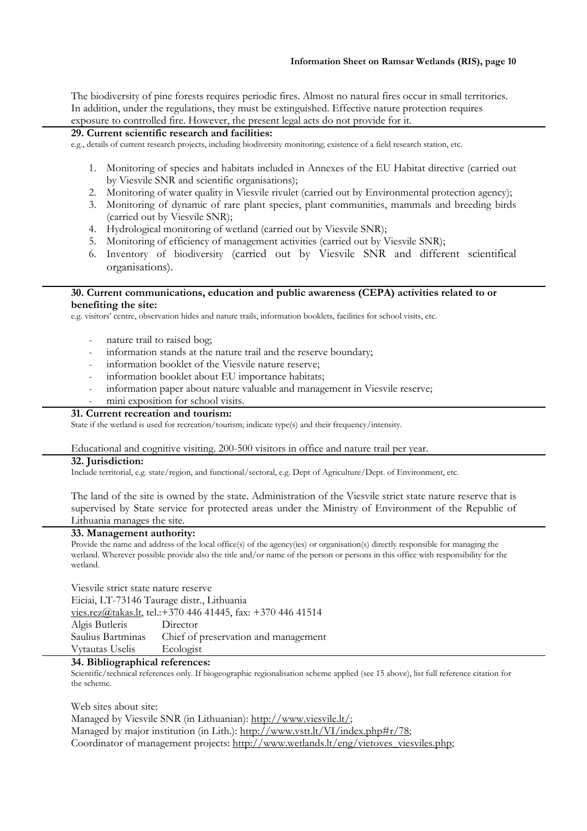The biodiversity of pine forests requires periodic fires. Almost no natural fires occur in small territories. In addition, under the regulations, they must be extinguished. Effective nature protection requires exposure to controlled fire. However, the present legal acts do not provide for it.

## **29. Current scientific research and facilities:**

e.g., details of current research projects, including biodiversity monitoring; existence of a field research station, etc.

- 1. Monitoring of species and habitats included in Annexes of the EU Habitat directive (carried out by Viesvile SNR and scientific organisations);
- 2. Monitoring of water quality in Viesvile rivulet (carried out by Environmental protection agency);
- 3. Monitoring of dynamic of rare plant species, plant communities, mammals and breeding birds (carried out by Viesvile SNR);
- 4. Hydrological monitoring of wetland (carried out by Viesvile SNR);
- 5. Monitoring of efficiency of management activities (carried out by Viesvile SNR);
- 6. Inventory of biodiversity (carried out by Viesvile SNR and different scientifical organisations).

#### **30. Current communications, education and public awareness (CEPA) activities related to or benefiting the site:**

e.g. visitors' centre, observation hides and nature trails, information booklets, facilities for school visits, etc.

- nature trail to raised bog;
- information stands at the nature trail and the reserve boundary;
- information booklet of the Viesvile nature reserve;
- information booklet about EU importance habitats;
- information paper about nature valuable and management in Viesvile reserve;
- mini exposition for school visits.

## **31. Current recreation and tourism:**

State if the wetland is used for recreation/tourism; indicate type(s) and their frequency/intensity.

Educational and cognitive visiting. 200-500 visitors in office and nature trail per year.

## **32. Jurisdiction:**

Include territorial, e.g. state/region, and functional/sectoral, e.g. Dept of Agriculture/Dept. of Environment, etc.

The land of the site is owned by the state. Administration of the Viesvile strict state nature reserve that is supervised by State service for protected areas under the Ministry of Environment of the Republic of Lithuania manages the site.

#### **33. Management authority:**

Provide the name and address of the local office(s) of the agency(ies) or organisation(s) directly responsible for managing the wetland. Wherever possible provide also the title and/or name of the person or persons in this office with responsibility for the wetland.

Viesvile strict state nature reserve

Eiciai, LT-73146 Taurage distr., Lithuania vies.rez@takas.lt, tel.:+370 446 41445, fax: +370 446 41514 Algis Butleris Director<br>Saulius Bartminas Chief of Chief of preservation and management Vytautas Uselis Ecologist

# **34. Bibliographical references:**

Scientific/technical references only. If biogeographic regionalisation scheme applied (see 15 above), list full reference citation for the scheme.

Web sites about site: Managed by Viesvile SNR (in Lithuanian): http://www.viesvile.lt/; Managed by major institution (in Lith.): http://www.vstt.lt/VI/index.php#r/78; Coordinator of management projects: http://www.wetlands.lt/eng/vietoves\_viesviles.php;